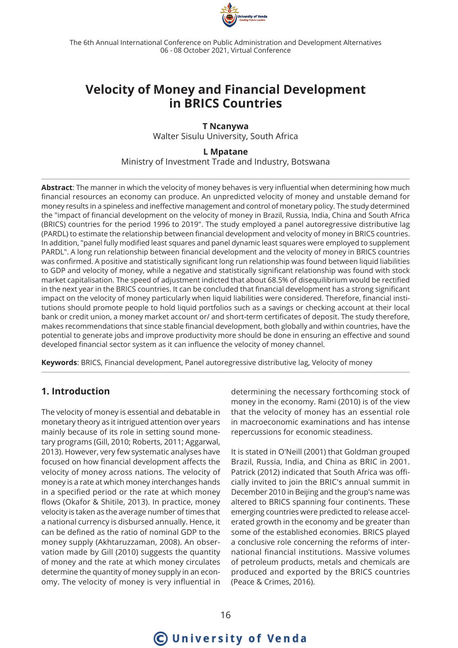

The 6th Annual International Conference on Public Administration and Development Alternatives 06 - 08 October 2021, Virtual Conference

# **Velocity of Money and Financial Development in BRICS Countries**

**T Ncanywa** Walter Sisulu University, South Africa

**L Mpatane** Ministry of Investment Trade and Industry, Botswana

**Abstract**: The manner in which the velocity of money behaves is very influential when determining how much financial resources an economy can produce. An unpredicted velocity of money and unstable demand for money results in a spineless and ineffective management and control of monetary policy. The study determined the "impact of financial development on the velocity of money in Brazil, Russia, India, China and South Africa (BRICS) countries for the period 1996 to 2019". The study employed a panel autoregressive distributive lag (PARDL) to estimate the relationship between financial development and velocity of money in BRICS countries. In addition, "panel fully modified least squares and panel dynamic least squares were employed to supplement PARDL". A long run relationship between financial development and the velocity of money in BRICS countries was confirmed. A positive and statistically significant long run relationship was found between liquid liabilities to GDP and velocity of money, while a negative and statistically significant relationship was found with stock market capitalisation. The speed of adjustment indicted that about 68.5% of disequilibrium would be rectified in the next year in the BRICS countries. It can be concluded that financial development has a strong significant impact on the velocity of money particularly when liquid liabilities were considered. Therefore, financial institutions should promote people to hold liquid portfolios such as a savings or checking account at their local bank or credit union, a money market account or/ and short-term certificates of deposit. The study therefore, makes recommendations that since stable financial development, both globally and within countries, have the potential to generate jobs and improve productivity more should be done in ensuring an effective and sound developed financial sector system as it can influence the velocity of money channel.

**Keywords**: BRICS, Financial development, Panel autoregressive distributive lag, Velocity of money

# **1. Introduction**

The velocity of money is essential and debatable in monetary theory as it intrigued attention over years mainly because of its role in setting sound monetary programs (Gill, 2010; Roberts, 2011; Aggarwal, 2013). However, very few systematic analyses have focused on how financial development affects the velocity of money across nations. The velocity of money is a rate at which money interchanges hands in a specified period or the rate at which money flows (Okafor & Shitile, 2013). In practice, money velocity is taken as the average number of times that a national currency is disbursed annually. Hence, it can be defined as the ratio of nominal GDP to the money supply (Akhtaruzzaman, 2008). An observation made by Gill (2010) suggests the quantity of money and the rate at which money circulates determine the quantity of money supply in an economy. The velocity of money is very influential in determining the necessary forthcoming stock of money in the economy. Rami (2010) is of the view that the velocity of money has an essential role in macroeconomic examinations and has intense repercussions for economic steadiness.

It is stated in O'Neill (2001) that Goldman grouped Brazil, Russia, India, and China as BRIC in 2001. Patrick (2012) indicated that South Africa was officially invited to join the BRIC's annual summit in December 2010 in Beijing and the group's name was altered to BRICS spanning four continents. These emerging countries were predicted to release accelerated growth in the economy and be greater than some of the established economies. BRICS played a conclusive role concerning the reforms of international financial institutions. Massive volumes of petroleum products, metals and chemicals are produced and exported by the BRICS countries (Peace & Crimes, 2016).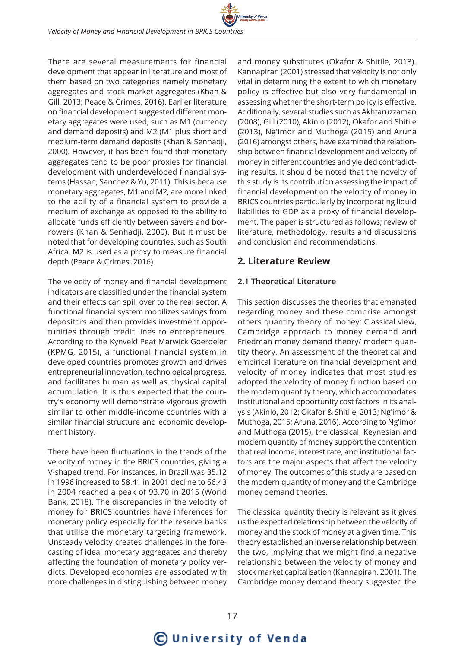There are several measurements for financial development that appear in literature and most of them based on two categories namely monetary aggregates and stock market aggregates (Khan & Gill, 2013; Peace & Crimes, 2016). Earlier literature on financial development suggested different monetary aggregates were used, such as M1 (currency and demand deposits) and M2 (M1 plus short and medium-term demand deposits (Khan & Senhadji, 2000). However, it has been found that monetary aggregates tend to be poor proxies for financial development with underdeveloped financial systems (Hassan, Sanchez & Yu, 2011). This is because monetary aggregates, M1 and M2, are more linked to the ability of a financial system to provide a medium of exchange as opposed to the ability to allocate funds efficiently between savers and borrowers (Khan & Senhadji, 2000). But it must be noted that for developing countries, such as South Africa, M2 is used as a proxy to measure financial depth (Peace & Crimes, 2016).

The velocity of money and financial development indicators are classified under the financial system and their effects can spill over to the real sector. A functional financial system mobilizes savings from depositors and then provides investment opportunities through credit lines to entrepreneurs. According to the Kynveld Peat Marwick Goerdeler (KPMG, 2015), a functional financial system in developed countries promotes growth and drives entrepreneurial innovation, technological progress, and facilitates human as well as physical capital accumulation. It is thus expected that the country's economy will demonstrate vigorous growth similar to other middle-income countries with a similar financial structure and economic development history.

There have been fluctuations in the trends of the velocity of money in the BRICS countries, giving a V-shaped trend. For instances, in Brazil was 35.12 in 1996 increased to 58.41 in 2001 decline to 56.43 in 2004 reached a peak of 93.70 in 2015 (World Bank, 2018). The discrepancies in the velocity of money for BRICS countries have inferences for monetary policy especially for the reserve banks that utilise the monetary targeting framework. Unsteady velocity creates challenges in the forecasting of ideal monetary aggregates and thereby affecting the foundation of monetary policy verdicts. Developed economies are associated with more challenges in distinguishing between money

and money substitutes (Okafor & Shitile, 2013). Kannapiran (2001) stressed that velocity is not only vital in determining the extent to which monetary policy is effective but also very fundamental in assessing whether the short-term policy is effective. Additionally, several studies such as Akhtaruzzaman (2008), Gill (2010), Akinlo (2012), Okafor and Shitile (2013), Ng'imor and Muthoga (2015) and Aruna (2016) amongst others, have examined the relationship between financial development and velocity of money in different countries and yielded contradicting results. It should be noted that the novelty of this study is its contribution assessing the impact of financial development on the velocity of money in BRICS countries particularly by incorporating liquid liabilities to GDP as a proxy of financial development. The paper is structured as follows; review of literature, methodology, results and discussions and conclusion and recommendations.

# **2. Literature Review**

### **2.1 Theoretical Literature**

This section discusses the theories that emanated regarding money and these comprise amongst others quantity theory of money: Classical view, Cambridge approach to money demand and Friedman money demand theory/ modern quantity theory. An assessment of the theoretical and empirical literature on financial development and velocity of money indicates that most studies adopted the velocity of money function based on the modern quantity theory, which accommodates institutional and opportunity cost factors in its analysis (Akinlo, 2012; Okafor & Shitile, 2013; Ng'imor & Muthoga, 2015; Aruna, 2016). According to Ng'imor and Muthoga (2015), the classical, Keynesian and modern quantity of money support the contention that real income, interest rate, and institutional factors are the major aspects that affect the velocity of money. The outcomes of this study are based on the modern quantity of money and the Cambridge money demand theories.

The classical quantity theory is relevant as it gives us the expected relationship between the velocity of money and the stock of money at a given time. This theory established an inverse relationship between the two, implying that we might find a negative relationship between the velocity of money and stock market capitalisation (Kannapiran, 2001). The Cambridge money demand theory suggested the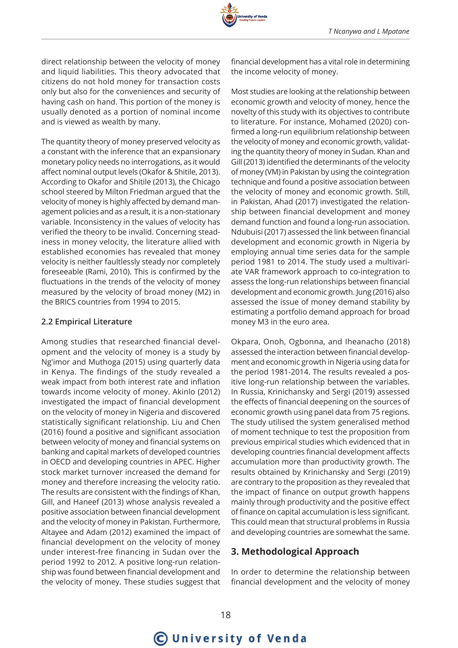

direct relationship between the velocity of money and liquid liabilities. This theory advocated that citizens do not hold money for transaction costs only but also for the conveniences and security of having cash on hand. This portion of the money is usually denoted as a portion of nominal income and is viewed as wealth by many.

The quantity theory of money preserved velocity as a constant with the inference that an expansionary monetary policy needs no interrogations, as it would affect nominal output levels (Okafor & Shitile, 2013). According to Okafor and Shitile (2013), the Chicago school steered by Milton Friedman argued that the velocity of money is highly affected by demand management policies and as a result, it is a non-stationary variable. Inconsistency in the values of velocity has verified the theory to be invalid. Concerning steadiness in money velocity, the literature allied with established economies has revealed that money velocity is neither faultlessly steady nor completely foreseeable (Rami, 2010). This is confirmed by the fluctuations in the trends of the velocity of money measured by the velocity of broad money (M2) in the BRICS countries from 1994 to 2015.

### **2.2 Empirical Literature**

Among studies that researched financial development and the velocity of money is a study by Ng'imor and Muthoga (2015) using quarterly data in Kenya. The findings of the study revealed a weak impact from both interest rate and inflation towards income velocity of money. Akinlo (2012) investigated the impact of financial development on the velocity of money in Nigeria and discovered statistically significant relationship. Liu and Chen (2016) found a positive and significant association between velocity of money and financial systems on banking and capital markets of developed countries in OECD and developing countries in APEC. Higher stock market turnover increased the demand for money and therefore increasing the velocity ratio. The results are consistent with the findings of Khan, Gill, and Haneef (2013) whose analysis revealed a positive association between financial development and the velocity of money in Pakistan. Furthermore, Altayee and Adam (2012) examined the impact of financial development on the velocity of money under interest-free financing in Sudan over the period 1992 to 2012. A positive long-run relationship was found between financial development and the velocity of money. These studies suggest that financial development has a vital role in determining the income velocity of money.

Most studies are looking at the relationship between economic growth and velocity of money, hence the novelty of this study with its objectives to contribute to literature. For instance, Mohamed (2020) confirmed a long-run equilibrium relationship between the velocity of money and economic growth, validating the quantity theory of money in Sudan. Khan and Gill (2013) identified the determinants of the velocity of money (VM) in Pakistan by using the cointegration technique and found a positive association between the velocity of money and economic growth. Still, in Pakistan, Ahad (2017) investigated the relationship between financial development and money demand function and found a long-run association. Ndubuisi (2017) assessed the link between financial development and economic growth in Nigeria by employing annual time series data for the sample period 1981 to 2014. The study used a multivariate VAR framework approach to co-integration to assess the long-run relationships between financial development and economic growth. Jung (2016) also assessed the issue of money demand stability by estimating a portfolio demand approach for broad money M3 in the euro area.

Okpara, Onoh, Ogbonna, and Iheanacho (2018) assessed the interaction between financial development and economic growth in Nigeria using data for the period 1981-2014. The results revealed a positive long-run relationship between the variables. In Russia, Krinichansky and Sergi (2019) assessed the effects of financial deepening on the sources of economic growth using panel data from 75 regions. The study utilised the system generalised method of moment technique to test the proposition from previous empirical studies which evidenced that in developing countries financial development affects accumulation more than productivity growth. The results obtained by Krinichansky and Sergi (2019) are contrary to the proposition as they revealed that the impact of finance on output growth happens mainly through productivity and the positive effect of finance on capital accumulation is less significant. This could mean that structural problems in Russia and developing countries are somewhat the same.

# **3. Methodological Approach**

In order to determine the relationship between financial development and the velocity of money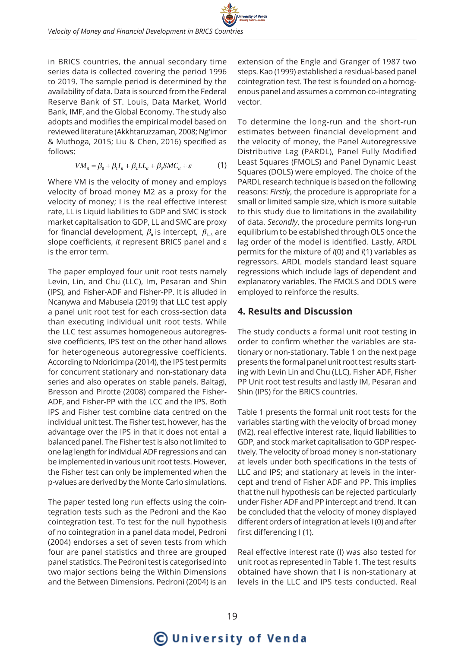in BRICS countries, the annual secondary time series data is collected covering the period 1996 to 2019. The sample period is determined by the availability of data. Data is sourced from the Federal Reserve Bank of ST. Louis, Data Market, World Bank, IMF, and the Global Economy. The study also adopts and modifies the empirical model based on reviewed literature (Akkhtaruzzaman, 2008; Ng'imor & Muthoga, 2015; Liu & Chen, 2016) specified as follows:

$$
VM_{it} = \beta_0 + \beta_1 I_{it} + \beta_2 L L_{it} + \beta_3 SMC_{it} + \varepsilon
$$
 (1)

Where VM is the velocity of money and employs velocity of broad money M2 as a proxy for the velocity of money; I is the real effective interest rate, LL is Liquid liabilities to GDP and SMC is stock market capitalisation to GDP, LL and SMC are proxy for financial development,  $\beta_0$  is intercept,  $\beta_{1}$  are slope coefficients, *it* represent BRICS panel and ε is the error term.

The paper employed four unit root tests namely Levin, Lin, and Chu (LLC), Im, Pesaran and Shin (IPS), and Fisher-ADF and Fisher-PP. It is alluded in Ncanywa and Mabusela (2019) that LLC test apply a panel unit root test for each cross-section data than executing individual unit root tests. While the LLC test assumes homogeneous autoregressive coefficients, IPS test on the other hand allows for heterogeneous autoregressive coefficients. According to Ndoricimpa (2014), the IPS test permits for concurrent stationary and non-stationary data series and also operates on stable panels. Baltagi, Bresson and Pirotte (2008) compared the Fisher-ADF, and Fisher-PP with the LCC and the IPS. Both IPS and Fisher test combine data centred on the individual unit test. The Fisher test, however, has the advantage over the IPS in that it does not entail a balanced panel. The Fisher test is also not limited to one lag length for individual ADF regressions and can be implemented in various unit root tests. However, the Fisher test can only be implemented when the p-values are derived by the Monte Carlo simulations.

The paper tested long run effects using the cointegration tests such as the Pedroni and the Kao cointegration test. To test for the null hypothesis of no cointegration in a panel data model, Pedroni (2004) endorses a set of seven tests from which four are panel statistics and three are grouped panel statistics. The Pedroni test is categorised into two major sections being the Within Dimensions and the Between Dimensions. Pedroni (2004) is an

extension of the Engle and Granger of 1987 two steps. Kao (1999) established a residual-based panel cointegration test. The test is founded on a homogenous panel and assumes a common co-integrating vector.

To determine the long-run and the short-run estimates between financial development and the velocity of money, the Panel Autoregressive Distributive Lag (PARDL), Panel Fully Modified Least Squares (FMOLS) and Panel Dynamic Least Squares (DOLS) were employed. The choice of the PARDL research technique is based on the following reasons: *Firstly*, the procedure is appropriate for a small or limited sample size, which is more suitable to this study due to limitations in the availability of data. *Secondly*, the procedure permits long-run equilibrium to be established through OLS once the lag order of the model is identified. Lastly, ARDL permits for the mixture of *I*(0) and *I*(1) variables as regressors. ARDL models standard least square regressions which include lags of dependent and explanatory variables. The FMOLS and DOLS were employed to reinforce the results.

### **4. Results and Discussion**

The study conducts a formal unit root testing in order to confirm whether the variables are stationary or non-stationary. Table 1 on the next page presents the formal panel unit root test results starting with Levin Lin and Chu (LLC), Fisher ADF, Fisher PP Unit root test results and lastly IM, Pesaran and Shin (IPS) for the BRICS countries.

Table 1 presents the formal unit root tests for the variables starting with the velocity of broad money (M2), real effective interest rate, liquid liabilities to GDP, and stock market capitalisation to GDP respectively. The velocity of broad money is non-stationary at levels under both specifications in the tests of LLC and IPS; and stationary at levels in the intercept and trend of Fisher ADF and PP. This implies that the null hypothesis can be rejected particularly under Fisher ADF and PP intercept and trend. It can be concluded that the velocity of money displayed different orders of integration at levels I (0) and after first differencing I (1).

Real effective interest rate (I) was also tested for unit root as represented in Table 1. The test results obtained have shown that I is non-stationary at levels in the LLC and IPS tests conducted. Real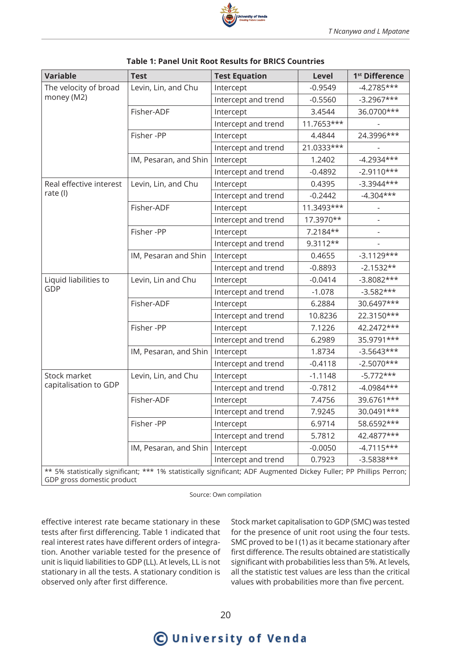| <b>Variable</b>                     | <b>Test</b>           | <b>Test Equation</b>                                                                                                | <b>Level</b> | 1 <sup>st</sup> Difference |
|-------------------------------------|-----------------------|---------------------------------------------------------------------------------------------------------------------|--------------|----------------------------|
| The velocity of broad<br>money (M2) | Levin, Lin, and Chu   | Intercept                                                                                                           | $-0.9549$    | $-4.2785***$               |
|                                     |                       | Intercept and trend                                                                                                 | $-0.5560$    | $-3.2967***$               |
|                                     | Fisher-ADF            | Intercept                                                                                                           | 3.4544       | 36.0700***                 |
|                                     |                       | Intercept and trend                                                                                                 | 11.7653***   |                            |
|                                     | Fisher-PP             | Intercept                                                                                                           | 4.4844       | 24.3996***                 |
|                                     |                       | Intercept and trend                                                                                                 | 21.0333***   |                            |
|                                     | IM, Pesaran, and Shin | Intercept                                                                                                           | 1.2402       | $-4.2934***$               |
|                                     |                       | Intercept and trend                                                                                                 | $-0.4892$    | $-2.9110***$               |
| Real effective interest             | Levin, Lin, and Chu   | Intercept                                                                                                           | 0.4395       | $-3.3944***$               |
| rate (I)                            |                       | Intercept and trend                                                                                                 | $-0.2442$    | $-4.304***$                |
|                                     | Fisher-ADF            | Intercept                                                                                                           | 11.3493***   |                            |
|                                     |                       | Intercept and trend                                                                                                 | 17.3970**    |                            |
|                                     | Fisher-PP             | Intercept                                                                                                           | 7.2184**     |                            |
|                                     |                       | Intercept and trend                                                                                                 | $9.3112**$   |                            |
|                                     | IM, Pesaran and Shin  | Intercept                                                                                                           | 0.4655       | $-3.1129***$               |
|                                     |                       | Intercept and trend                                                                                                 | $-0.8893$    | $-2.1532**$                |
| Liquid liabilities to               | Levin, Lin and Chu    | Intercept                                                                                                           | $-0.0414$    | $-3.8082***$               |
| GDP                                 |                       | Intercept and trend                                                                                                 | $-1.078$     | $-3.582***$                |
|                                     | Fisher-ADF            | Intercept                                                                                                           | 6.2884       | 30.6497***                 |
|                                     |                       | Intercept and trend                                                                                                 | 10.8236      | 22.3150***                 |
|                                     | Fisher-PP             | Intercept                                                                                                           | 7.1226       | 42.2472***                 |
|                                     |                       | Intercept and trend                                                                                                 | 6.2989       | 35.9791***                 |
|                                     | IM, Pesaran, and Shin | Intercept                                                                                                           | 1.8734       | $-3.5643***$               |
|                                     |                       | Intercept and trend                                                                                                 | $-0.4118$    | $-2.5070***$               |
| Stock market                        | Levin, Lin, and Chu   | Intercept                                                                                                           | $-1.1148$    | $-5.772***$                |
| capitalisation to GDP               |                       | Intercept and trend                                                                                                 | $-0.7812$    | $-4.0984***$               |
|                                     | Fisher-ADF            | Intercept                                                                                                           | 7.4756       | 39.6761***                 |
|                                     |                       | Intercept and trend                                                                                                 | 7.9245       | 30.0491***                 |
|                                     | Fisher-PP             | Intercept                                                                                                           | 6.9714       | 58.6592***                 |
|                                     |                       | Intercept and trend                                                                                                 | 5.7812       | 42.4877***                 |
|                                     | IM, Pesaran, and Shin | Intercept                                                                                                           | $-0.0050$    | $-4.7115***$               |
|                                     |                       | Intercept and trend                                                                                                 | 0.7923       | $-3.5838***$               |
| GDP gross domestic product          |                       | ** 5% statistically significant; *** 1% statistically significant; ADF Augmented Dickey Fuller; PP Phillips Perron; |              |                            |

#### **Table 1: Panel Unit Root Results for BRICS Countries**

Source: Own compilation

effective interest rate became stationary in these tests after first differencing. Table 1 indicated that real interest rates have different orders of integration. Another variable tested for the presence of unit is liquid liabilities to GDP (LL). At levels, LL is not stationary in all the tests. A stationary condition is observed only after first difference.

Stock market capitalisation to GDP (SMC) was tested for the presence of unit root using the four tests. SMC proved to be I (1) as it became stationary after first difference. The results obtained are statistically significant with probabilities less than 5%. At levels, all the statistic test values are less than the critical values with probabilities more than five percent.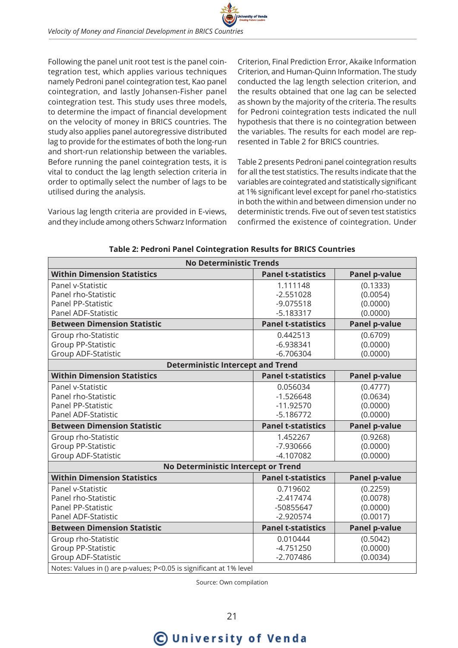Following the panel unit root test is the panel cointegration test, which applies various techniques namely Pedroni panel cointegration test, Kao panel cointegration, and lastly Johansen-Fisher panel cointegration test. This study uses three models, to determine the impact of financial development on the velocity of money in BRICS countries. The study also applies panel autoregressive distributed lag to provide for the estimates of both the long-run and short-run relationship between the variables. Before running the panel cointegration tests, it is vital to conduct the lag length selection criteria in order to optimally select the number of lags to be utilised during the analysis.

Various lag length criteria are provided in E-views, and they include among others Schwarz Information

Criterion, Final Prediction Error, Akaike Information Criterion, and Human-Quinn Information. The study conducted the lag length selection criterion, and the results obtained that one lag can be selected as shown by the majority of the criteria. The results for Pedroni cointegration tests indicated the null hypothesis that there is no cointegration between the variables. The results for each model are represented in Table 2 for BRICS countries.

Table 2 presents Pedroni panel cointegration results for all the test statistics. The results indicate that the variables are cointegrated and statistically significant at 1% significant level except for panel rho-statistics in both the within and between dimension under no deterministic trends. Five out of seven test statistics confirmed the existence of cointegration. Under

| <b>No Deterministic Trends</b>                                      |                           |                      |  |
|---------------------------------------------------------------------|---------------------------|----------------------|--|
| <b>Within Dimension Statistics</b>                                  | <b>Panel t-statistics</b> | <b>Panel p-value</b> |  |
| Panel v-Statistic                                                   | 1.111148                  | (0.1333)             |  |
| Panel rho-Statistic                                                 | $-2.551028$               | (0.0054)             |  |
| <b>Panel PP-Statistic</b>                                           | $-9.075518$               | (0.0000)             |  |
| Panel ADF-Statistic                                                 | $-5.183317$               | (0.0000)             |  |
| <b>Between Dimension Statistic</b>                                  | <b>Panel t-statistics</b> | <b>Panel p-value</b> |  |
| Group rho-Statistic                                                 | 0.442513                  | (0.6709)             |  |
| <b>Group PP-Statistic</b>                                           | $-6.938341$               | (0.0000)             |  |
| Group ADF-Statistic                                                 | $-6.706304$               | (0.0000)             |  |
| <b>Deterministic Intercept and Trend</b>                            |                           |                      |  |
| <b>Within Dimension Statistics</b>                                  | <b>Panel t-statistics</b> | <b>Panel p-value</b> |  |
| Panel v-Statistic                                                   | 0.056034                  | (0.4777)             |  |
| Panel rho-Statistic                                                 | $-1.526648$               | (0.0634)             |  |
| <b>Panel PP-Statistic</b>                                           | $-11.92570$               | (0.0000)             |  |
| Panel ADF-Statistic                                                 | $-5.186772$               | (0.0000)             |  |
| <b>Between Dimension Statistic</b>                                  | <b>Panel t-statistics</b> | <b>Panel p-value</b> |  |
| Group rho-Statistic                                                 | 1.452267                  | (0.9268)             |  |
| <b>Group PP-Statistic</b>                                           | -7.930666                 | (0.0000)             |  |
| Group ADF-Statistic                                                 | $-4.107082$               | (0.0000)             |  |
| No Deterministic Intercept or Trend                                 |                           |                      |  |
| <b>Within Dimension Statistics</b>                                  | <b>Panel t-statistics</b> | <b>Panel p-value</b> |  |
| Panel v-Statistic                                                   | 0.719602                  | (0.2259)             |  |
| Panel rho-Statistic                                                 | $-2.417474$               | (0.0078)             |  |
| Panel PP-Statistic                                                  | -50855647                 | (0.0000)             |  |
| Panel ADF-Statistic                                                 | $-2.920574$               | (0.0017)             |  |
| <b>Between Dimension Statistic</b>                                  | <b>Panel t-statistics</b> | <b>Panel p-value</b> |  |
| Group rho-Statistic                                                 | 0.010444                  | (0.5042)             |  |
| Group PP-Statistic                                                  | $-4.751250$               | (0.0000)             |  |
| <b>Group ADF-Statistic</b>                                          | $-2.707486$               | (0.0034)             |  |
| Notes: Values in () are p-values; P<0.05 is significant at 1% level |                           |                      |  |

**Table 2: Pedroni Panel Cointegration Results for BRICS Countries**

Source: Own compilation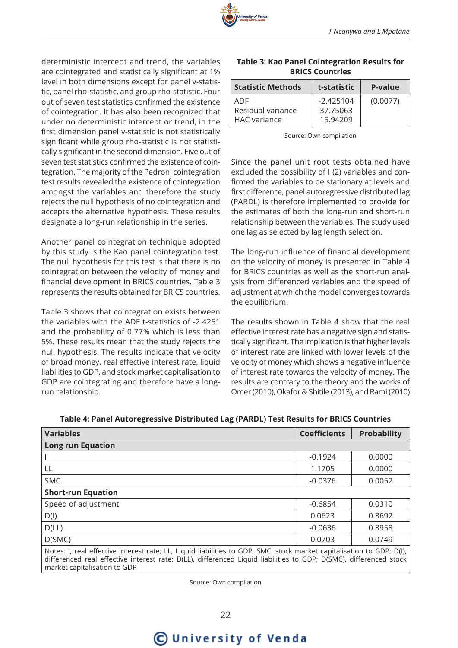

deterministic intercept and trend, the variables are cointegrated and statistically significant at 1% level in both dimensions except for panel v-statistic, panel rho-statistic, and group rho-statistic. Four out of seven test statistics confirmed the existence of cointegration. It has also been recognized that under no deterministic intercept or trend, in the first dimension panel v-statistic is not statistically significant while group rho-statistic is not statistically significant in the second dimension. Five out of seven test statistics confirmed the existence of cointegration. The majority of the Pedroni cointegration test results revealed the existence of cointegration amongst the variables and therefore the study rejects the null hypothesis of no cointegration and accepts the alternative hypothesis. These results designate a long-run relationship in the series.

Another panel cointegration technique adopted by this study is the Kao panel cointegration test. The null hypothesis for this test is that there is no cointegration between the velocity of money and financial development in BRICS countries. Table 3 represents the results obtained for BRICS countries.

Table 3 shows that cointegration exists between the variables with the ADF t-statistics of -2.4251 and the probability of 0.77% which is less than 5%. These results mean that the study rejects the null hypothesis. The results indicate that velocity of broad money, real effective interest rate, liquid liabilities to GDP, and stock market capitalisation to GDP are cointegrating and therefore have a longrun relationship.

#### **Table 3: Kao Panel Cointegration Results for BRICS Countries**

| <b>Statistic Methods</b>                   | t-statistic                         | P-value  |
|--------------------------------------------|-------------------------------------|----------|
| ADE<br>Residual variance<br>l HAC variance | $-2.425104$<br>37.75063<br>15.94209 | (0.0077) |

Source: Own compilation

Since the panel unit root tests obtained have excluded the possibility of I (2) variables and confirmed the variables to be stationary at levels and first difference, panel autoregressive distributed lag (PARDL) is therefore implemented to provide for the estimates of both the long-run and short-run relationship between the variables. The study used one lag as selected by lag length selection.

The long-run influence of financial development on the velocity of money is presented in Table 4 for BRICS countries as well as the short-run analysis from differenced variables and the speed of adjustment at which the model converges towards the equilibrium.

The results shown in Table 4 show that the real effective interest rate has a negative sign and statistically significant. The implication is that higher levels of interest rate are linked with lower levels of the velocity of money which shows a negative influence of interest rate towards the velocity of money. The results are contrary to the theory and the works of Omer (2010), Okafor & Shitile (2013), and Rami (2010)

| <b>Variables</b>          | <b>Coefficients</b> | <b>Probability</b> |
|---------------------------|---------------------|--------------------|
| <b>Long run Equation</b>  |                     |                    |
|                           | $-0.1924$           | 0.0000             |
| LL                        | 1.1705              | 0.0000             |
| <b>SMC</b>                | $-0.0376$           | 0.0052             |
| <b>Short-run Equation</b> |                     |                    |
| Speed of adjustment       | $-0.6854$           | 0.0310             |
| $D($ l $)$                | 0.0623              | 0.3692             |
| D(LL)                     | $-0.0636$           | 0.8958             |
| D(SMC)                    | 0.0703              | 0.0749             |

**Table 4: Panel Autoregressive Distributed Lag (PARDL) Test Results for BRICS Countries**

Notes: I, real effective interest rate; LL, Liquid liabilities to GDP; SMC, stock market capitalisation to GDP; D(I), differenced real effective interest rate; D(LL), differenced Liquid liabilities to GDP; D(SMC), differenced stock market capitalisation to GDP

Source: Own compilation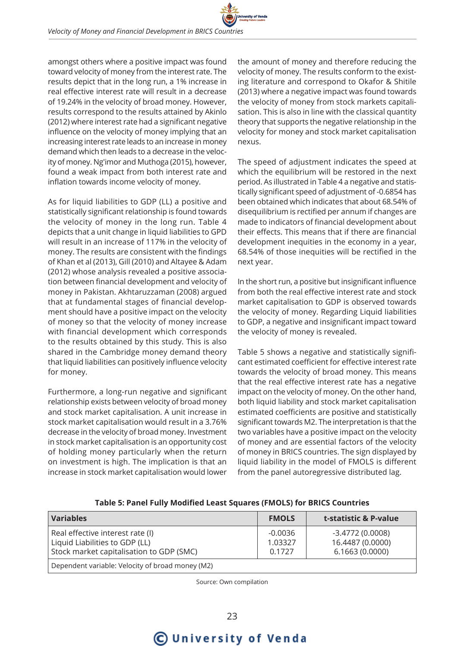amongst others where a positive impact was found toward velocity of money from the interest rate. The results depict that in the long run, a 1% increase in real effective interest rate will result in a decrease of 19.24% in the velocity of broad money. However, results correspond to the results attained by Akinlo (2012) where interest rate had a significant negative influence on the velocity of money implying that an increasing interest rate leads to an increase in money demand which then leads to a decrease in the velocity of money. Ng'imor and Muthoga (2015), however, found a weak impact from both interest rate and inflation towards income velocity of money.

As for liquid liabilities to GDP (LL) a positive and statistically significant relationship is found towards the velocity of money in the long run. Table 4 depicts that a unit change in liquid liabilities to GPD will result in an increase of 117% in the velocity of money. The results are consistent with the findings of Khan et al (2013), Gill (2010) and Altayee & Adam (2012) whose analysis revealed a positive association between financial development and velocity of money in Pakistan. Akhtaruzzaman (2008) argued that at fundamental stages of financial development should have a positive impact on the velocity of money so that the velocity of money increase with financial development which corresponds to the results obtained by this study. This is also shared in the Cambridge money demand theory that liquid liabilities can positively influence velocity for money.

Furthermore, a long-run negative and significant relationship exists between velocity of broad money and stock market capitalisation. A unit increase in stock market capitalisation would result in a 3.76% decrease in the velocity of broad money. Investment in stock market capitalisation is an opportunity cost of holding money particularly when the return on investment is high. The implication is that an increase in stock market capitalisation would lower

the amount of money and therefore reducing the velocity of money. The results conform to the existing literature and correspond to Okafor & Shitile (2013) where a negative impact was found towards the velocity of money from stock markets capitalisation. This is also in line with the classical quantity theory that supports the negative relationship in the velocity for money and stock market capitalisation nexus.

The speed of adjustment indicates the speed at which the equilibrium will be restored in the next period. As illustrated in Table 4 a negative and statistically significant speed of adjustment of -0.6854 has been obtained which indicates that about 68.54% of disequilibrium is rectified per annum if changes are made to indicators of financial development about their effects. This means that if there are financial development inequities in the economy in a year, 68.54% of those inequities will be rectified in the next year.

In the short run, a positive but insignificant influence from both the real effective interest rate and stock market capitalisation to GDP is observed towards the velocity of money. Regarding Liquid liabilities to GDP, a negative and insignificant impact toward the velocity of money is revealed.

Table 5 shows a negative and statistically significant estimated coefficient for effective interest rate towards the velocity of broad money. This means that the real effective interest rate has a negative impact on the velocity of money. On the other hand, both liquid liability and stock market capitalisation estimated coefficients are positive and statistically significant towards M2. The interpretation is that the two variables have a positive impact on the velocity of money and are essential factors of the velocity of money in BRICS countries. The sign displayed by liquid liability in the model of FMOLS is different from the panel autoregressive distributed lag.

**Table 5: Panel Fully Modified Least Squares (FMOLS) for BRICS Countries**

| <b>Variables</b>                                                                                               | <b>FMOLS</b>                   | t-statistic & P-value                                   |
|----------------------------------------------------------------------------------------------------------------|--------------------------------|---------------------------------------------------------|
| Real effective interest rate (I)<br>Liquid Liabilities to GDP (LL)<br>Stock market capitalisation to GDP (SMC) | $-0.0036$<br>1.03327<br>0.1727 | $-3.4772(0.0008)$<br>16.4487 (0.0000)<br>6.1663(0.0000) |
| Dependent variable: Velocity of broad money (M2)                                                               |                                |                                                         |

Source: Own compilation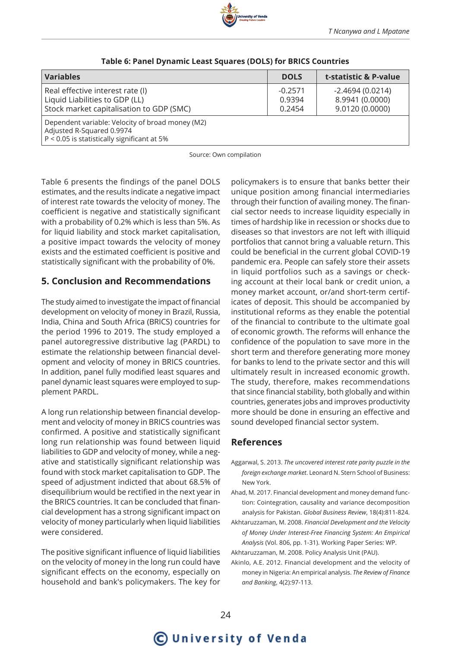| <b>Variables</b>                                                                                                             | <b>DOLS</b>                   | t-statistic & P-value                                   |
|------------------------------------------------------------------------------------------------------------------------------|-------------------------------|---------------------------------------------------------|
| Real effective interest rate (I)<br>Liquid Liabilities to GDP (LL)<br>Stock market capitalisation to GDP (SMC)               | $-0.2571$<br>0.9394<br>0.2454 | $-2.4694(0.0214)$<br>8.9941 (0.0000)<br>9.0120 (0.0000) |
| Dependent variable: Velocity of broad money (M2)<br>Adjusted R-Squared 0.9974<br>P < 0.05 is statistically significant at 5% |                               |                                                         |

#### **Table 6: Panel Dynamic Least Squares (DOLS) for BRICS Countries**

Source: Own compilation

Table 6 presents the findings of the panel DOLS estimates, and the results indicate a negative impact of interest rate towards the velocity of money. The coefficient is negative and statistically significant with a probability of 0.2% which is less than 5%. As for liquid liability and stock market capitalisation, a positive impact towards the velocity of money exists and the estimated coefficient is positive and statistically significant with the probability of 0%.

# **5. Conclusion and Recommendations**

The study aimed to investigate the impact of financial development on velocity of money in Brazil, Russia, India, China and South Africa (BRICS) countries for the period 1996 to 2019. The study employed a panel autoregressive distributive lag (PARDL) to estimate the relationship between financial development and velocity of money in BRICS countries. In addition, panel fully modified least squares and panel dynamic least squares were employed to supplement PARDL.

A long run relationship between financial development and velocity of money in BRICS countries was confirmed. A positive and statistically significant long run relationship was found between liquid liabilities to GDP and velocity of money, while a negative and statistically significant relationship was found with stock market capitalisation to GDP. The speed of adjustment indicted that about 68.5% of disequilibrium would be rectified in the next year in the BRICS countries. It can be concluded that financial development has a strong significant impact on velocity of money particularly when liquid liabilities were considered.

The positive significant influence of liquid liabilities on the velocity of money in the long run could have significant effects on the economy, especially on household and bank's policymakers. The key for

policymakers is to ensure that banks better their unique position among financial intermediaries through their function of availing money. The financial sector needs to increase liquidity especially in times of hardship like in recession or shocks due to diseases so that investors are not left with illiquid portfolios that cannot bring a valuable return. This could be beneficial in the current global COVID-19 pandemic era. People can safely store their assets in liquid portfolios such as a savings or checking account at their local bank or credit union, a money market account, or/and short-term certificates of deposit. This should be accompanied by institutional reforms as they enable the potential of the financial to contribute to the ultimate goal of economic growth. The reforms will enhance the confidence of the population to save more in the short term and therefore generating more money for banks to lend to the private sector and this will ultimately result in increased economic growth. The study, therefore, makes recommendations that since financial stability, both globally and within countries, generates jobs and improves productivity more should be done in ensuring an effective and sound developed financial sector system.

# **References**

- Aggarwal, S. 2013. *The uncovered interest rate parity puzzle in the foreign exchange market*. Leonard N. Stern School of Business: New York.
- Ahad, M. 2017. Financial development and money demand function: Cointegration, causality and variance decomposition analysis for Pakistan. *Global Business Review*, 18(4):811-824.
- Akhtaruzzaman, M. 2008. *Financial Development and the Velocity of Money Under Interest-Free Financing System: An Empirical Analysis* (Vol. 806, pp. 1-31). Working Paper Series: WP.
- Akhtaruzzaman, M. 2008. Policy Analysis Unit (PAU).
- Akinlo, A.E. 2012. Financial development and the velocity of money in Nigeria: An empirical analysis. *The Review of Finance and Banking*, 4(2):97-113.